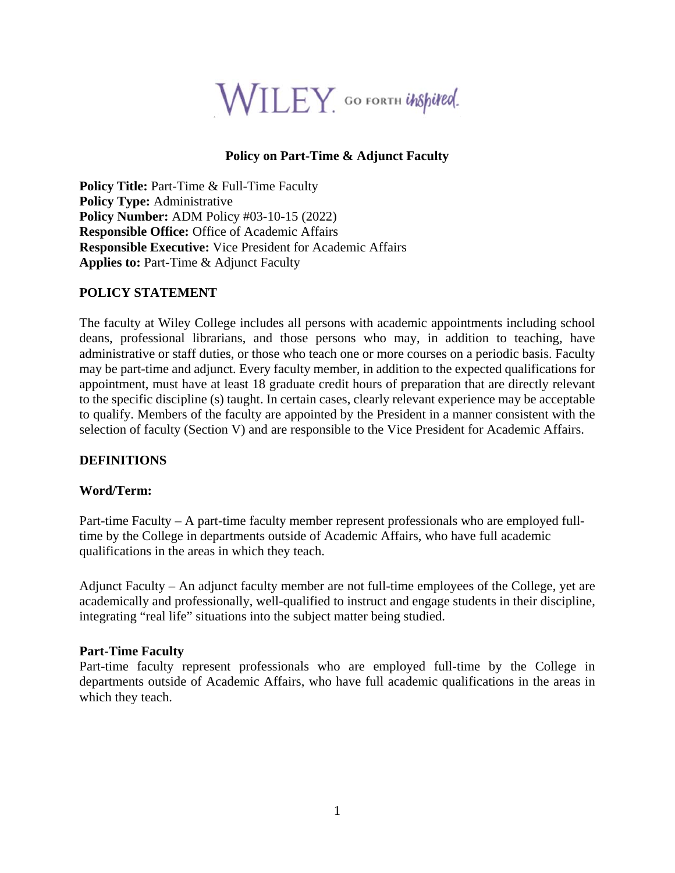

## **Policy on Part-Time & Adjunct Faculty**

**Policy Title: Part-Time & Full-Time Faculty Policy Type:** Administrative **Policy Number:** ADM Policy #03-10-15 (2022) **Responsible Office:** Office of Academic Affairs **Responsible Executive:** Vice President for Academic Affairs **Applies to:** Part-Time & Adjunct Faculty

### **POLICY STATEMENT**

The faculty at Wiley College includes all persons with academic appointments including school deans, professional librarians, and those persons who may, in addition to teaching, have administrative or staff duties, or those who teach one or more courses on a periodic basis. Faculty may be part-time and adjunct. Every faculty member, in addition to the expected qualifications for appointment, must have at least 18 graduate credit hours of preparation that are directly relevant to the specific discipline (s) taught. In certain cases, clearly relevant experience may be acceptable to qualify. Members of the faculty are appointed by the President in a manner consistent with the selection of faculty (Section V) and are responsible to the Vice President for Academic Affairs.

## **DEFINITIONS**

## **Word/Term:**

Part-time Faculty – A part-time faculty member represent professionals who are employed fulltime by the College in departments outside of Academic Affairs, who have full academic qualifications in the areas in which they teach.

Adjunct Faculty – An adjunct faculty member are not full-time employees of the College, yet are academically and professionally, well-qualified to instruct and engage students in their discipline, integrating "real life" situations into the subject matter being studied.

## **Part-Time Faculty**

Part-time faculty represent professionals who are employed full-time by the College in departments outside of Academic Affairs, who have full academic qualifications in the areas in which they teach.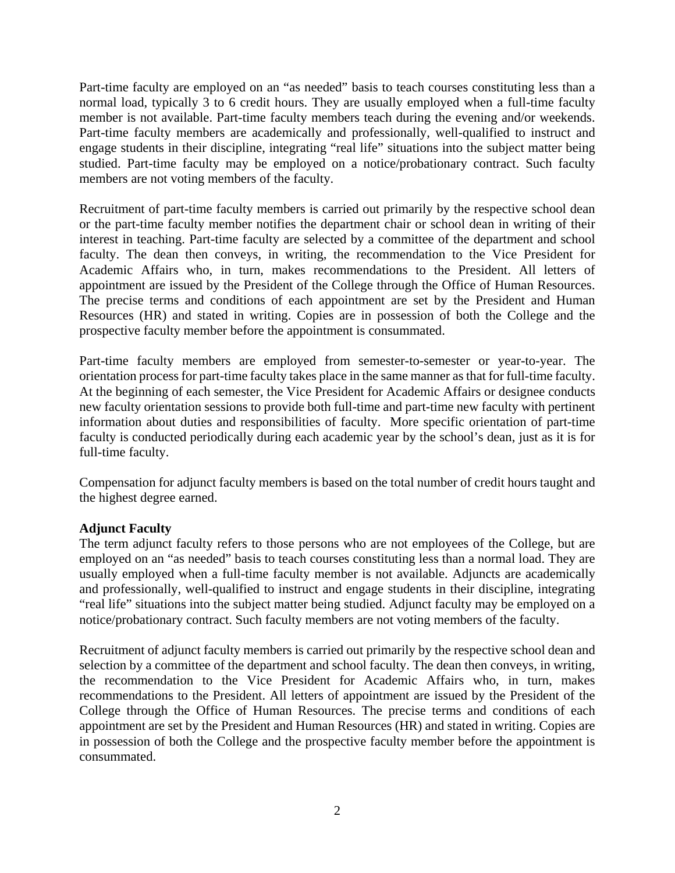Part-time faculty are employed on an "as needed" basis to teach courses constituting less than a normal load, typically 3 to 6 credit hours. They are usually employed when a full-time faculty member is not available. Part-time faculty members teach during the evening and/or weekends. Part-time faculty members are academically and professionally, well-qualified to instruct and engage students in their discipline, integrating "real life" situations into the subject matter being studied. Part-time faculty may be employed on a notice/probationary contract. Such faculty members are not voting members of the faculty.

Recruitment of part-time faculty members is carried out primarily by the respective school dean or the part-time faculty member notifies the department chair or school dean in writing of their interest in teaching. Part-time faculty are selected by a committee of the department and school faculty. The dean then conveys, in writing, the recommendation to the Vice President for Academic Affairs who, in turn, makes recommendations to the President. All letters of appointment are issued by the President of the College through the Office of Human Resources. The precise terms and conditions of each appointment are set by the President and Human Resources (HR) and stated in writing. Copies are in possession of both the College and the prospective faculty member before the appointment is consummated.

Part-time faculty members are employed from semester-to-semester or year-to-year. The orientation process for part-time faculty takes place in the same manner as that for full-time faculty. At the beginning of each semester, the Vice President for Academic Affairs or designee conducts new faculty orientation sessions to provide both full-time and part-time new faculty with pertinent information about duties and responsibilities of faculty. More specific orientation of part-time faculty is conducted periodically during each academic year by the school's dean, just as it is for full-time faculty.

Compensation for adjunct faculty members is based on the total number of credit hours taught and the highest degree earned.

## **Adjunct Faculty**

The term adjunct faculty refers to those persons who are not employees of the College, but are employed on an "as needed" basis to teach courses constituting less than a normal load. They are usually employed when a full-time faculty member is not available. Adjuncts are academically and professionally, well-qualified to instruct and engage students in their discipline, integrating "real life" situations into the subject matter being studied. Adjunct faculty may be employed on a notice/probationary contract. Such faculty members are not voting members of the faculty.

Recruitment of adjunct faculty members is carried out primarily by the respective school dean and selection by a committee of the department and school faculty. The dean then conveys, in writing, the recommendation to the Vice President for Academic Affairs who, in turn, makes recommendations to the President. All letters of appointment are issued by the President of the College through the Office of Human Resources. The precise terms and conditions of each appointment are set by the President and Human Resources (HR) and stated in writing. Copies are in possession of both the College and the prospective faculty member before the appointment is consummated.